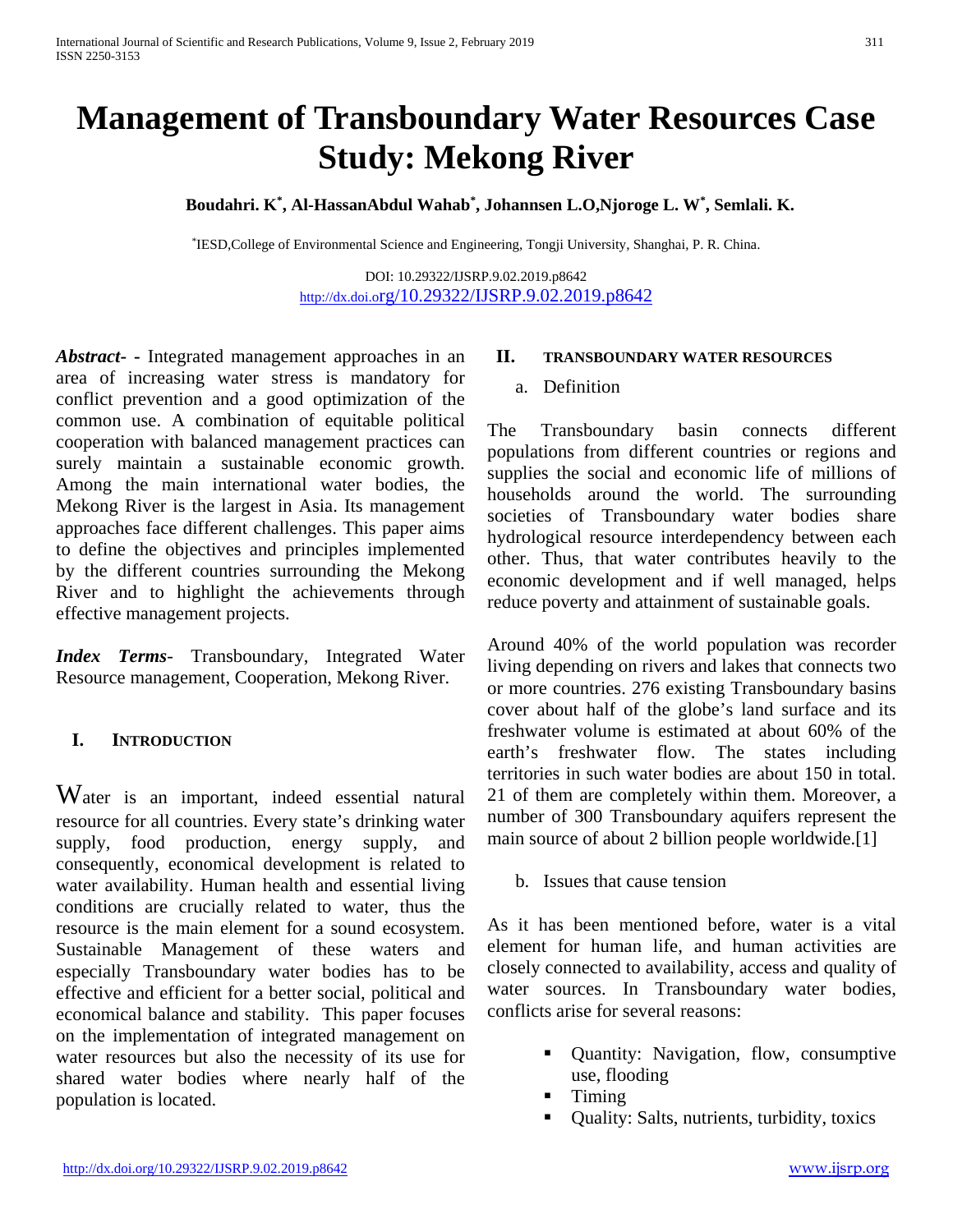# **Management of Transboundary Water Resources Case Study: Mekong River**

**Boudahri. K\* , Al-HassanAbdul Wahab\* , Johannsen L.O,Njoroge L. W\* , Semlali. K.**

\*IESD,College of Environmental Science and Engineering, Tongji University, Shanghai, P. R. China.

DOI: 10.29322/IJSRP.9.02.2019.p8642 <http://dx.doi.org/10.29322/IJSRP.9.02.2019.p8642>

*Abstract***- -** Integrated management approaches in an area of increasing water stress is mandatory for conflict prevention and a good optimization of the common use. A combination of equitable political cooperation with balanced management practices can surely maintain a sustainable economic growth. Among the main international water bodies, the Mekong River is the largest in Asia. Its management approaches face different challenges. This paper aims to define the objectives and principles implemented by the different countries surrounding the Mekong River and to highlight the achievements through effective management projects.

*Index Terms*- Transboundary, Integrated Water Resource management, Cooperation, Mekong River.

#### **I. INTRODUCTION**

Water is an important, indeed essential natural resource for all countries. Every state's drinking water supply, food production, energy supply, and consequently, economical development is related to water availability. Human health and essential living conditions are crucially related to water, thus the resource is the main element for a sound ecosystem. Sustainable Management of these waters and especially Transboundary water bodies has to be effective and efficient for a better social, political and economical balance and stability. This paper focuses on the implementation of integrated management on water resources but also the necessity of its use for shared water bodies where nearly half of the population is located.

#### **II. TRANSBOUNDARY WATER RESOURCES**

a. Definition

The Transboundary basin connects different populations from different countries or regions and supplies the social and economic life of millions of households around the world. The surrounding societies of Transboundary water bodies share hydrological resource interdependency between each other. Thus, that water contributes heavily to the economic development and if well managed, helps reduce poverty and attainment of sustainable goals.

Around 40% of the world population was recorder living depending on rivers and lakes that connects two or more countries. 276 existing Transboundary basins cover about half of the globe's land surface and its freshwater volume is estimated at about 60% of the earth's freshwater flow. The states including territories in such water bodies are about 150 in total. 21 of them are completely within them. Moreover, a number of 300 Transboundary aquifers represent the main source of about 2 billion people worldwide.[1]

b. Issues that cause tension

As it has been mentioned before, water is a vital element for human life, and human activities are closely connected to availability, access and quality of water sources. In Transboundary water bodies, conflicts arise for several reasons:

- Quantity: Navigation, flow, consumptive use, flooding
- $\blacksquare$  Timing
- Quality: Salts, nutrients, turbidity, toxics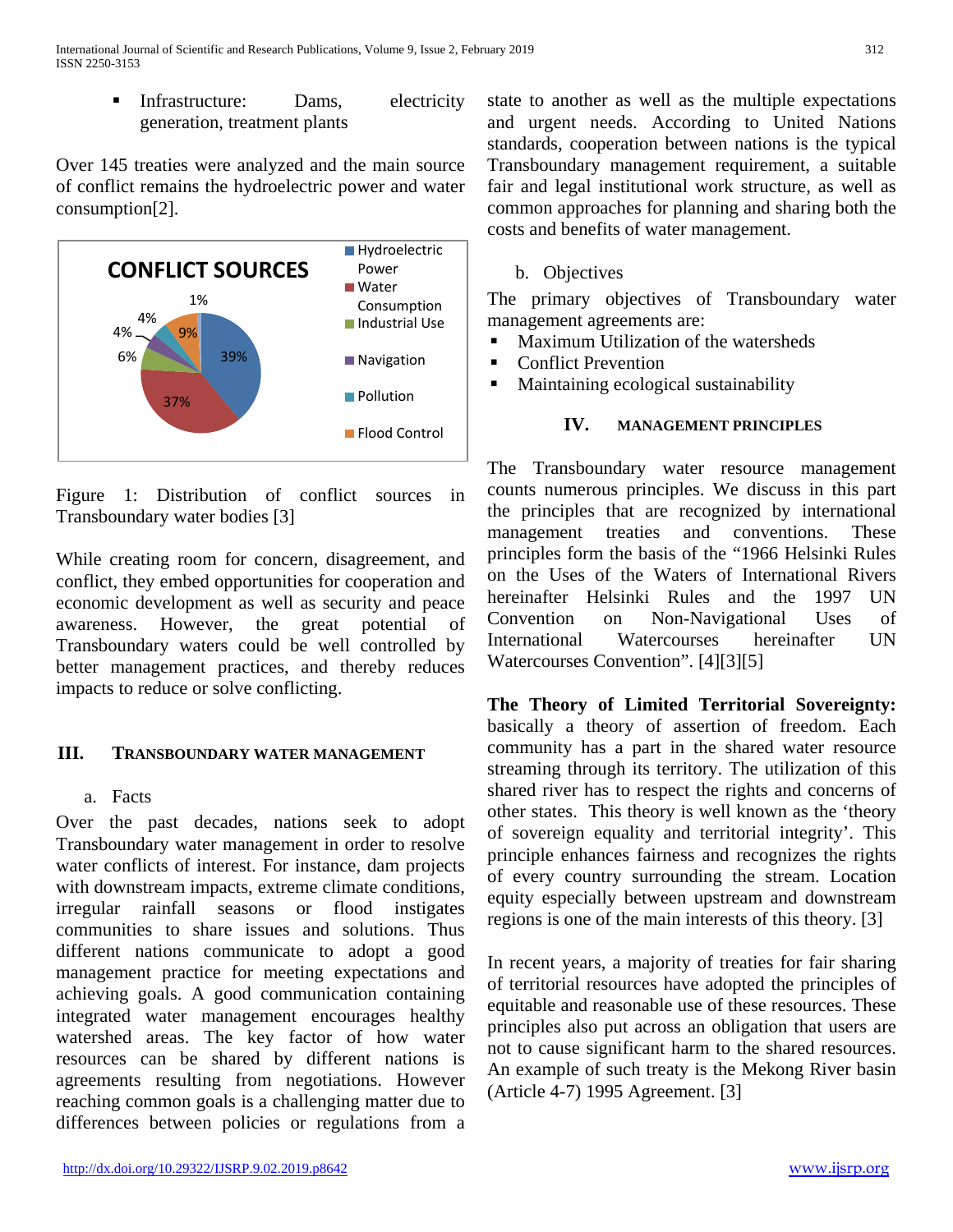Infrastructure: Dams, electricity generation, treatment plants

Over 145 treaties were analyzed and the main source of conflict remains the hydroelectric power and water consumption[2].



Figure 1: Distribution of conflict sources in Transboundary water bodies [3]

While creating room for concern, disagreement, and conflict, they embed opportunities for cooperation and economic development as well as security and peace awareness. However, the great potential of Transboundary waters could be well controlled by better management practices, and thereby reduces impacts to reduce or solve conflicting.

#### **III. TRANSBOUNDARY WATER MANAGEMENT**

a. Facts

Over the past decades, nations seek to adopt Transboundary water management in order to resolve water conflicts of interest. For instance, dam projects with downstream impacts, extreme climate conditions, irregular rainfall seasons or flood instigates communities to share issues and solutions. Thus different nations communicate to adopt a good management practice for meeting expectations and achieving goals. A good communication containing integrated water management encourages healthy watershed areas. The key factor of how water resources can be shared by different nations is agreements resulting from negotiations. However reaching common goals is a challenging matter due to differences between policies or regulations from a state to another as well as the multiple expectations and urgent needs. According to United Nations standards, cooperation between nations is the typical Transboundary management requirement, a suitable fair and legal institutional work structure, as well as common approaches for planning and sharing both the costs and benefits of water management.

## b. Objectives

The primary objectives of Transboundary water management agreements are:

- **Maximum Utilization of the watersheds**
- Conflict Prevention
- Maintaining ecological sustainability

## **IV. MANAGEMENT PRINCIPLES**

The Transboundary water resource management counts numerous principles. We discuss in this part the principles that are recognized by international management treaties and conventions. These principles form the basis of the "1966 Helsinki Rules on the Uses of the Waters of International Rivers hereinafter Helsinki Rules and the 1997 UN Convention on Non-Navigational Uses of International Watercourses hereinafter UN Watercourses Convention". [4][3][5]

**The Theory of Limited Territorial Sovereignty:** basically a theory of assertion of freedom. Each community has a part in the shared water resource streaming through its territory. The utilization of this shared river has to respect the rights and concerns of other states. This theory is well known as the 'theory of sovereign equality and territorial integrity'. This principle enhances fairness and recognizes the rights of every country surrounding the stream. Location equity especially between upstream and downstream regions is one of the main interests of this theory. [3]

In recent years, a majority of treaties for fair sharing of territorial resources have adopted the principles of equitable and reasonable use of these resources. These principles also put across an obligation that users are not to cause significant harm to the shared resources. An example of such treaty is the Mekong River basin (Article 4-7) 1995 Agreement. [3]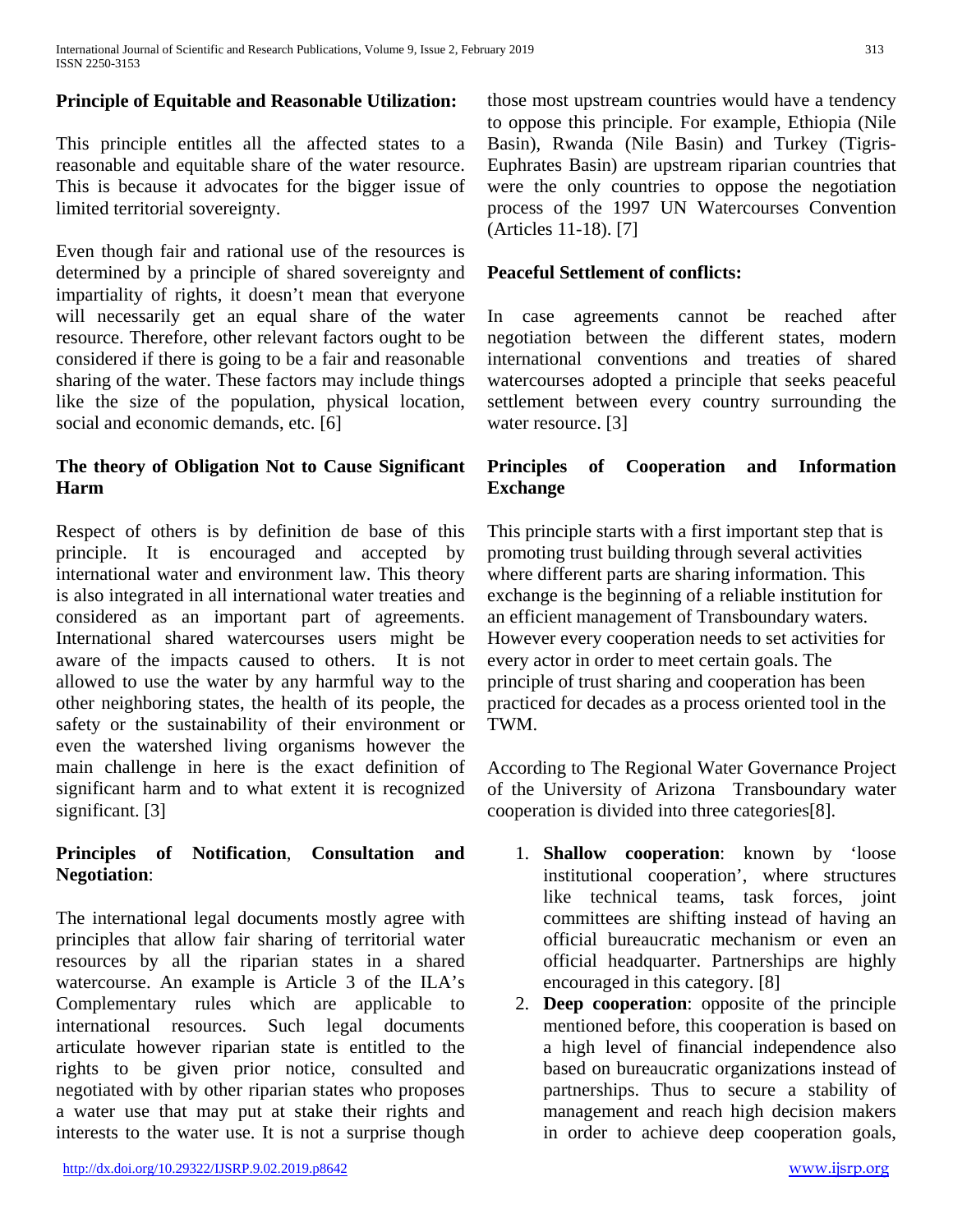## **Principle of Equitable and Reasonable Utilization:**

This principle entitles all the affected states to a reasonable and equitable share of the water resource. This is because it advocates for the bigger issue of limited territorial sovereignty.

Even though fair and rational use of the resources is determined by a principle of shared sovereignty and impartiality of rights, it doesn't mean that everyone will necessarily get an equal share of the water resource. Therefore, other relevant factors ought to be considered if there is going to be a fair and reasonable sharing of the water. These factors may include things like the size of the population, physical location, social and economic demands, etc. [6]

## **The theory of Obligation Not to Cause Significant Harm**

Respect of others is by definition de base of this principle. It is encouraged and accepted by international water and environment law. This theory is also integrated in all international water treaties and considered as an important part of agreements. International shared watercourses users might be aware of the impacts caused to others. It is not allowed to use the water by any harmful way to the other neighboring states, the health of its people, the safety or the sustainability of their environment or even the watershed living organisms however the main challenge in here is the exact definition of significant harm and to what extent it is recognized significant. [3]

#### **Principles of Notification**, **Consultation and Negotiation**:

The international legal documents mostly agree with principles that allow fair sharing of territorial water resources by all the riparian states in a shared watercourse. An example is Article 3 of the ILA's Complementary rules which are applicable to international resources. Such legal documents articulate however riparian state is entitled to the rights to be given prior notice, consulted and negotiated with by other riparian states who proposes a water use that may put at stake their rights and interests to the water use. It is not a surprise though those most upstream countries would have a tendency to oppose this principle. For example, Ethiopia (Nile Basin), Rwanda (Nile Basin) and Turkey (Tigris-Euphrates Basin) are upstream riparian countries that were the only countries to oppose the negotiation process of the 1997 UN Watercourses Convention (Articles 11-18). [7]

#### **Peaceful Settlement of conflicts:**

In case agreements cannot be reached after negotiation between the different states, modern international conventions and treaties of shared watercourses adopted a principle that seeks peaceful settlement between every country surrounding the water resource. [3]

## **Principles of Cooperation and Information Exchange**

This principle starts with a first important step that is promoting trust building through several activities where different parts are sharing information. This exchange is the beginning of a reliable institution for an efficient management of Transboundary waters. However every cooperation needs to set activities for every actor in order to meet certain goals. The principle of trust sharing and cooperation has been practiced for decades as a process oriented tool in the TWM.

According to The Regional Water Governance Project of the University of Arizona Transboundary water cooperation is divided into three categories[8].

- 1. **Shallow cooperation**: known by 'loose institutional cooperation', where structures like technical teams, task forces, joint committees are shifting instead of having an official bureaucratic mechanism or even an official headquarter. Partnerships are highly encouraged in this category. [8]
- 2. **Deep cooperation**: opposite of the principle mentioned before, this cooperation is based on a high level of financial independence also based on bureaucratic organizations instead of partnerships. Thus to secure a stability of management and reach high decision makers in order to achieve deep cooperation goals,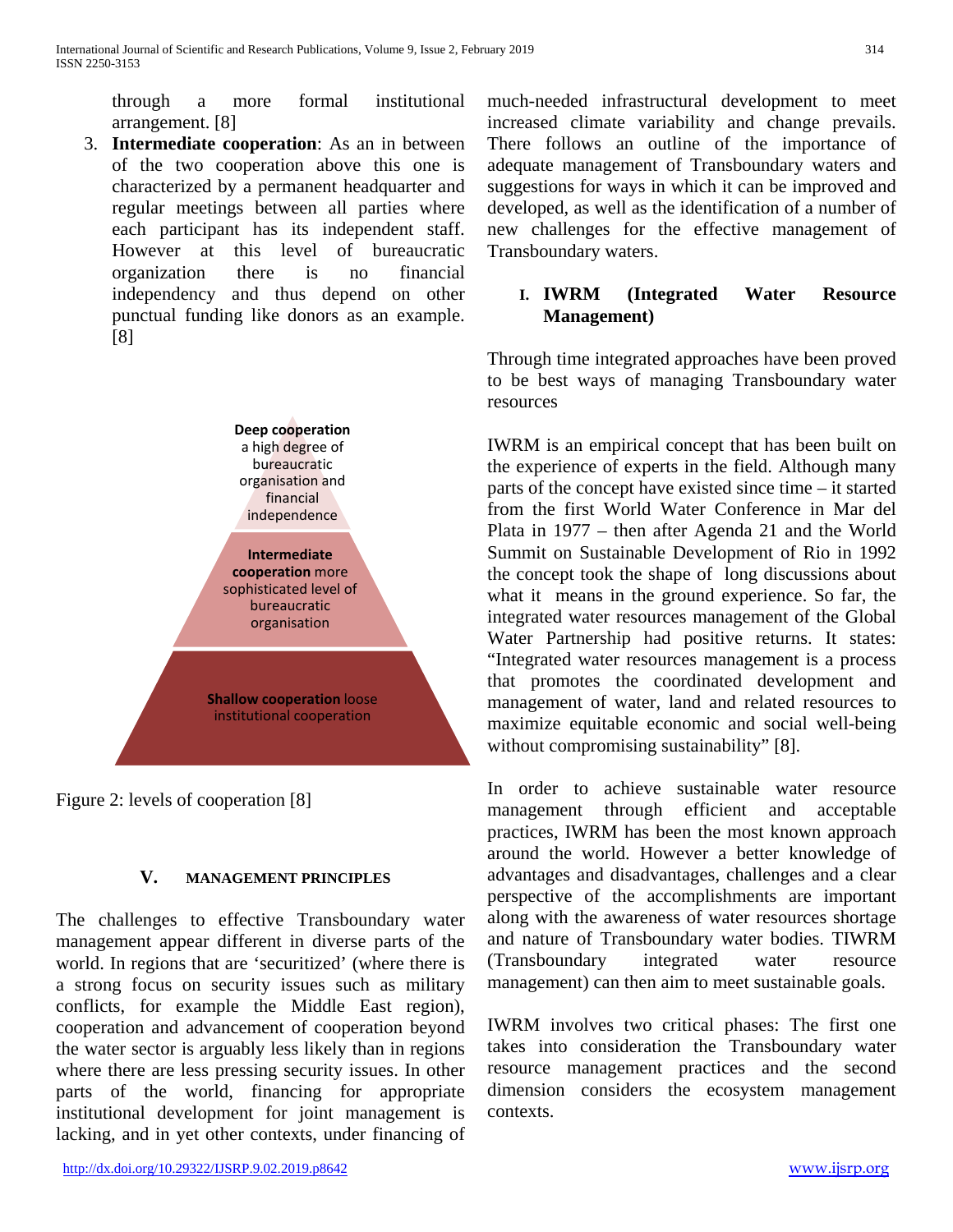through a more formal institutional arrangement. [8]

3. **Intermediate cooperation**: As an in between of the two cooperation above this one is characterized by a permanent headquarter and regular meetings between all parties where each participant has its independent staff. However at this level of bureaucratic organization there is no financial independency and thus depend on other punctual funding like donors as an example. [8]



Figure 2: levels of cooperation [8]

# **V. MANAGEMENT PRINCIPLES**

The challenges to effective Transboundary water management appear different in diverse parts of the world. In regions that are 'securitized' (where there is a strong focus on security issues such as military conflicts, for example the Middle East region), cooperation and advancement of cooperation beyond the water sector is arguably less likely than in regions where there are less pressing security issues. In other parts of the world, financing for appropriate institutional development for joint management is lacking, and in yet other contexts, under financing of much-needed infrastructural development to meet increased climate variability and change prevails. There follows an outline of the importance of adequate management of Transboundary waters and suggestions for ways in which it can be improved and developed, as well as the identification of a number of new challenges for the effective management of Transboundary waters.

## **I. IWRM (Integrated Water Resource Management)**

Through time integrated approaches have been proved to be best ways of managing Transboundary water resources

IWRM is an empirical concept that has been built on the experience of experts in the field. Although many parts of the concept have existed since time – it started from the first World Water Conference in Mar del Plata in 1977 – then after Agenda 21 and the World Summit on Sustainable Development of Rio in 1992 the concept took the shape of long discussions about what it means in the ground experience. So far, the integrated water resources management of the Global Water Partnership had positive returns. It states: "Integrated water resources management is a process that promotes the coordinated development and management of water, land and related resources to maximize equitable economic and social well-being without compromising sustainability" [8].

In order to achieve sustainable water resource management through efficient and acceptable practices, IWRM has been the most known approach around the world. However a better knowledge of advantages and disadvantages, challenges and a clear perspective of the accomplishments are important along with the awareness of water resources shortage and nature of Transboundary water bodies. TIWRM (Transboundary integrated water resource management) can then aim to meet sustainable goals.

IWRM involves two critical phases: The first one takes into consideration the Transboundary water resource management practices and the second dimension considers the ecosystem management contexts.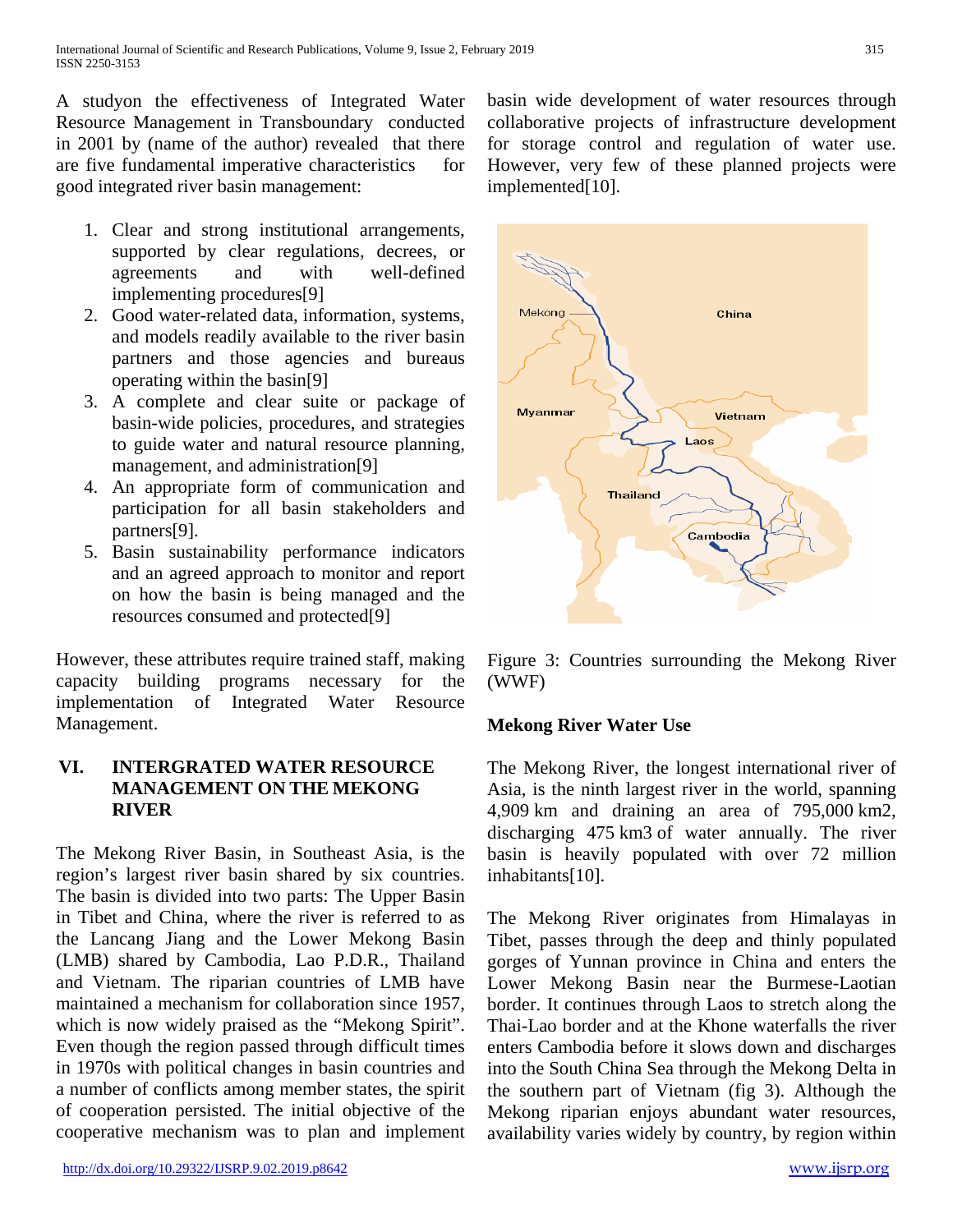A studyon the effectiveness of Integrated Water Resource Management in Transboundary conducted in 2001 by (name of the author) revealed that there are five fundamental imperative characteristics for good integrated river basin management:

- 1. Clear and strong institutional arrangements, supported by clear regulations, decrees, or agreements and with well-defined implementing procedures[9]
- 2. Good water-related data, information, systems, and models readily available to the river basin partners and those agencies and bureaus operating within the basin[9]
- 3. A complete and clear suite or package of basin-wide policies, procedures, and strategies to guide water and natural resource planning, management, and administration[9]
- 4. An appropriate form of communication and participation for all basin stakeholders and partners[9].
- 5. Basin sustainability performance indicators and an agreed approach to monitor and report on how the basin is being managed and the resources consumed and protected[9]

However, these attributes require trained staff, making capacity building programs necessary for the implementation of Integrated Water Resource Management.

## **VI. INTERGRATED WATER RESOURCE MANAGEMENT ON THE MEKONG RIVER**

The Mekong River Basin, in Southeast Asia, is the region's largest river basin shared by six countries. The basin is divided into two parts: The Upper Basin in Tibet and China, where the river is referred to as the Lancang Jiang and the Lower Mekong Basin (LMB) shared by Cambodia, Lao P.D.R., Thailand and Vietnam. The riparian countries of LMB have maintained a mechanism for collaboration since 1957, which is now widely praised as the "Mekong Spirit". Even though the region passed through difficult times in 1970s with political changes in basin countries and a number of conflicts among member states, the spirit of cooperation persisted. The initial objective of the cooperative mechanism was to plan and implement basin wide development of water resources through collaborative projects of infrastructure development for storage control and regulation of water use. However, very few of these planned projects were implemented[10].



Figure 3: Countries surrounding the Mekong River (WWF)

#### **Mekong River Water Use**

The Mekong River, the longest international river of Asia, is the ninth largest river in the world, spanning 4,909 km and draining an area of 795,000 km2, discharging 475 km3 of water annually. The river basin is heavily populated with over 72 million inhabitants[10].

The Mekong River originates from Himalayas in Tibet, passes through the deep and thinly populated gorges of Yunnan province in China and enters the Lower Mekong Basin near the Burmese-Laotian border. It continues through Laos to stretch along the Thai-Lao border and at the Khone waterfalls the river enters Cambodia before it slows down and discharges into the South China Sea through the Mekong Delta in the southern part of Vietnam (fig 3). Although the Mekong riparian enjoys abundant water resources, availability varies widely by country, by region within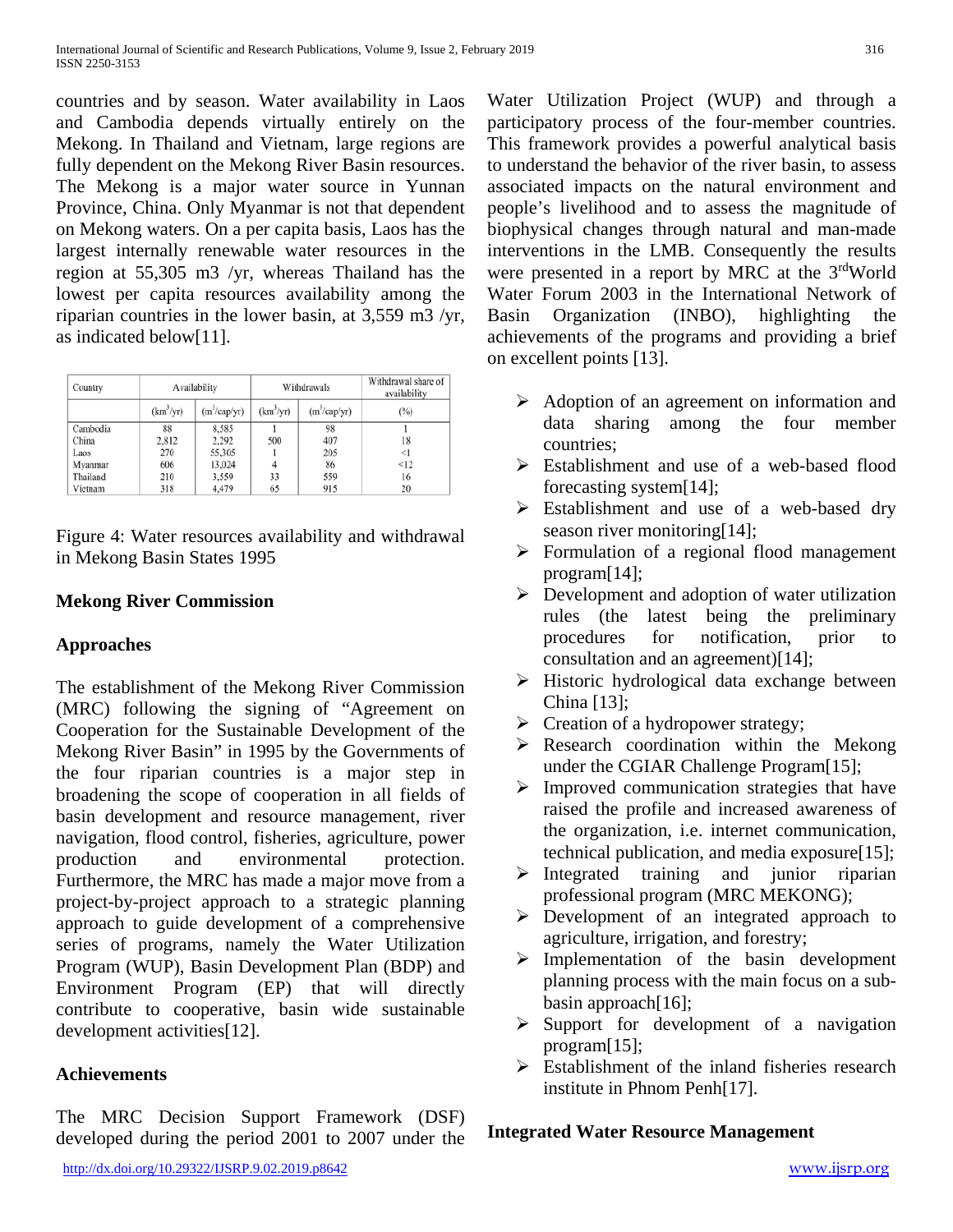countries and by season. Water availability in Laos and Cambodia depends virtually entirely on the Mekong. In Thailand and Vietnam, large regions are fully dependent on the Mekong River Basin resources. The Mekong is a major water source in Yunnan Province, China. Only Myanmar is not that dependent on Mekong waters. On a per capita basis, Laos has the largest internally renewable water resources in the region at 55,305 m3 /yr, whereas Thailand has the lowest per capita resources availability among the riparian countries in the lower basin, at 3,559 m3 /yr, as indicated below[11].

| Country  | Availability          |                          | Withdrawals           |                          | Withdrawal share of<br>availability |
|----------|-----------------------|--------------------------|-----------------------|--------------------------|-------------------------------------|
|          | (km <sup>3</sup> /yr) | (m <sup>3</sup> /cap/yr) | (km <sup>3</sup> /vr) | (m <sup>3</sup> /cap/yr) | (%)                                 |
| Cambodia | 88                    | 8,585                    |                       | 98                       |                                     |
| China    | 2,812                 | 2.292                    | 500                   | 407                      | 18                                  |
| Laos     | 270                   | 55,305                   |                       | 205                      | $\leq$                              |
| Myanmar  | 606                   | 13,024                   | 4                     | 86                       | < 12                                |
| Thailand | 210                   | 3,559                    | 33                    | 559                      | 16                                  |
| Vietnam  | 318                   | 4,479                    | 65                    | 915                      | 20                                  |

Figure 4: Water resources availability and withdrawal in Mekong Basin States 1995

## **Mekong River Commission**

# **Approaches**

The establishment of the Mekong River Commission (MRC) following the signing of "Agreement on Cooperation for the Sustainable Development of the Mekong River Basin" in 1995 by the Governments of the four riparian countries is a major step in broadening the scope of cooperation in all fields of basin development and resource management, river navigation, flood control, fisheries, agriculture, power production and environmental protection. Furthermore, the MRC has made a major move from a project-by-project approach to a strategic planning approach to guide development of a comprehensive series of programs, namely the Water Utilization Program (WUP), Basin Development Plan (BDP) and Environment Program (EP) that will directly contribute to cooperative, basin wide sustainable development activities[12].

# **Achievements**

The MRC Decision Support Framework (DSF) developed during the period 2001 to 2007 under the Water Utilization Project (WUP) and through a participatory process of the four-member countries. This framework provides a powerful analytical basis to understand the behavior of the river basin, to assess associated impacts on the natural environment and people's livelihood and to assess the magnitude of biophysical changes through natural and man-made interventions in the LMB. Consequently the results were presented in a report by MRC at the 3<sup>rd</sup>World Water Forum 2003 in the International Network of Basin Organization (INBO), highlighting the achievements of the programs and providing a brief on excellent points [13].

- $\triangleright$  Adoption of an agreement on information and data sharing among the four member countries;
- $\triangleright$  Establishment and use of a web-based flood forecasting system[14];
- $\triangleright$  Establishment and use of a web-based dry season river monitoring[14];
- Formulation of a regional flood management program[14];
- $\triangleright$  Development and adoption of water utilization rules (the latest being the preliminary procedures for notification, prior to consultation and an agreement)[14];
- $\triangleright$  Historic hydrological data exchange between China [13];
- $\triangleright$  Creation of a hydropower strategy;
- Research coordination within the Mekong under the CGIAR Challenge Program[15];
- $\triangleright$  Improved communication strategies that have raised the profile and increased awareness of the organization, i.e. internet communication, technical publication, and media exposure[15];
- $\triangleright$  Integrated training and junior riparian professional program (MRC MEKONG);
- Development of an integrated approach to agriculture, irrigation, and forestry;
- $\triangleright$  Implementation of the basin development planning process with the main focus on a subbasin approach[16];
- $\triangleright$  Support for development of a navigation program[15];
- Establishment of the inland fisheries research institute in Phnom Penh[17].

## **Integrated Water Resource Management**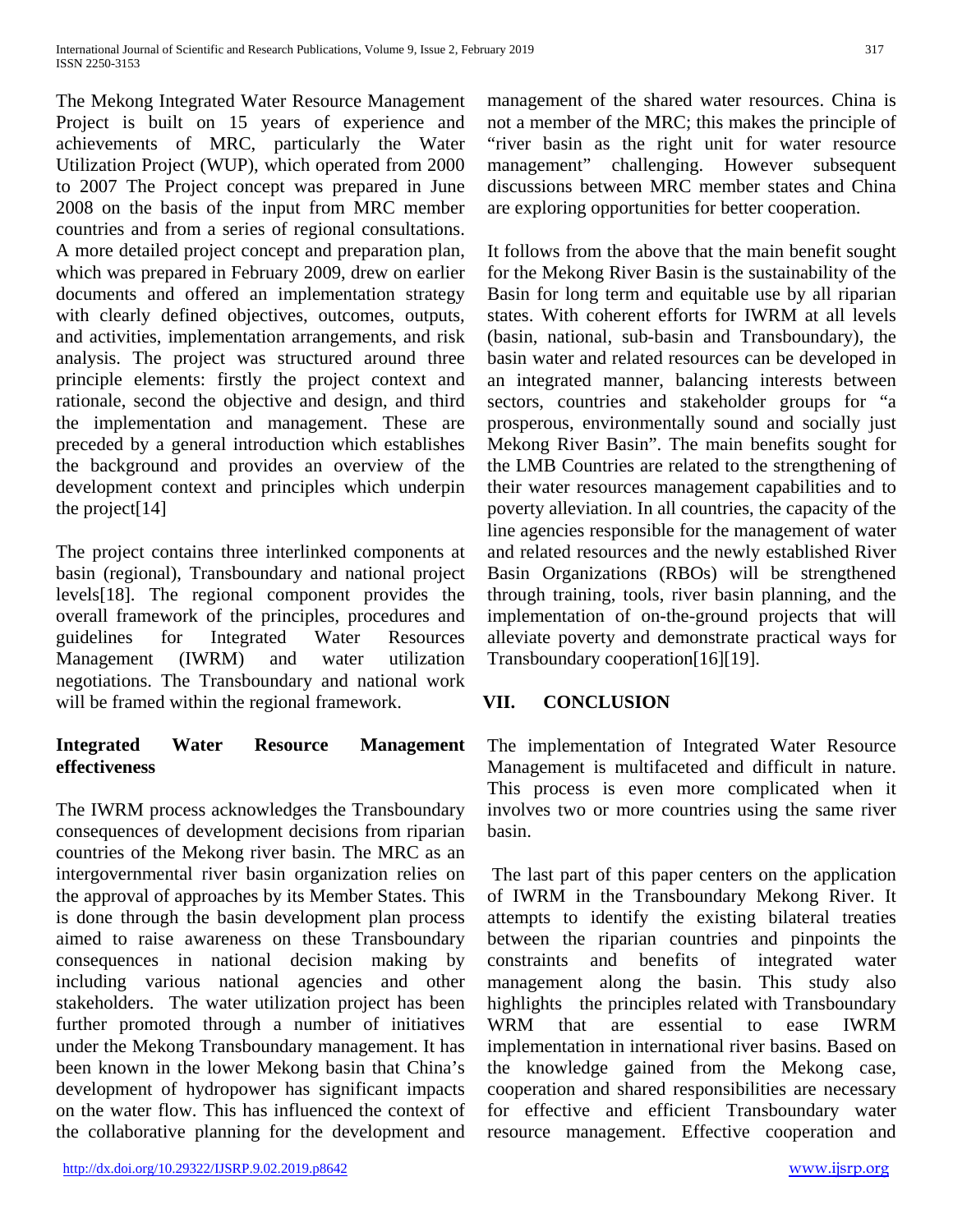The Mekong Integrated Water Resource Management Project is built on 15 years of experience and achievements of MRC, particularly the Water Utilization Project (WUP), which operated from 2000 to 2007 The Project concept was prepared in June 2008 on the basis of the input from MRC member countries and from a series of regional consultations. A more detailed project concept and preparation plan, which was prepared in February 2009, drew on earlier documents and offered an implementation strategy with clearly defined objectives, outcomes, outputs, and activities, implementation arrangements, and risk analysis. The project was structured around three principle elements: firstly the project context and rationale, second the objective and design, and third the implementation and management. These are preceded by a general introduction which establishes the background and provides an overview of the development context and principles which underpin the project[14]

The project contains three interlinked components at basin (regional), Transboundary and national project levels[18]. The regional component provides the overall framework of the principles, procedures and guidelines for Integrated Water Resources Management (IWRM) and water utilization negotiations. The Transboundary and national work will be framed within the regional framework.

## **Integrated Water Resource Management effectiveness**

The IWRM process acknowledges the Transboundary consequences of development decisions from riparian countries of the Mekong river basin. The MRC as an intergovernmental river basin organization relies on the approval of approaches by its Member States. This is done through the basin development plan process aimed to raise awareness on these Transboundary consequences in national decision making by including various national agencies and other stakeholders. The water utilization project has been further promoted through a number of initiatives under the Mekong Transboundary management. It has been known in the lower Mekong basin that China's development of hydropower has significant impacts on the water flow. This has influenced the context of the collaborative planning for the development and It follows from the above that the main benefit sought for the Mekong River Basin is the sustainability of the Basin for long term and equitable use by all riparian states. With coherent efforts for IWRM at all levels (basin, national, sub-basin and Transboundary), the basin water and related resources can be developed in an integrated manner, balancing interests between sectors, countries and stakeholder groups for "a prosperous, environmentally sound and socially just Mekong River Basin". The main benefits sought for the LMB Countries are related to the strengthening of their water resources management capabilities and to poverty alleviation. In all countries, the capacity of the line agencies responsible for the management of water and related resources and the newly established River Basin Organizations (RBOs) will be strengthened through training, tools, river basin planning, and the implementation of on-the-ground projects that will alleviate poverty and demonstrate practical ways for Transboundary cooperation[16][19].

# **VII. CONCLUSION**

The implementation of Integrated Water Resource Management is multifaceted and difficult in nature. This process is even more complicated when it involves two or more countries using the same river basin.

The last part of this paper centers on the application of IWRM in the Transboundary Mekong River. It attempts to identify the existing bilateral treaties between the riparian countries and pinpoints the constraints and benefits of integrated water management along the basin. This study also highlights the principles related with Transboundary WRM that are essential to ease IWRM implementation in international river basins. Based on the knowledge gained from the Mekong case, cooperation and shared responsibilities are necessary for effective and efficient Transboundary water resource management. Effective cooperation and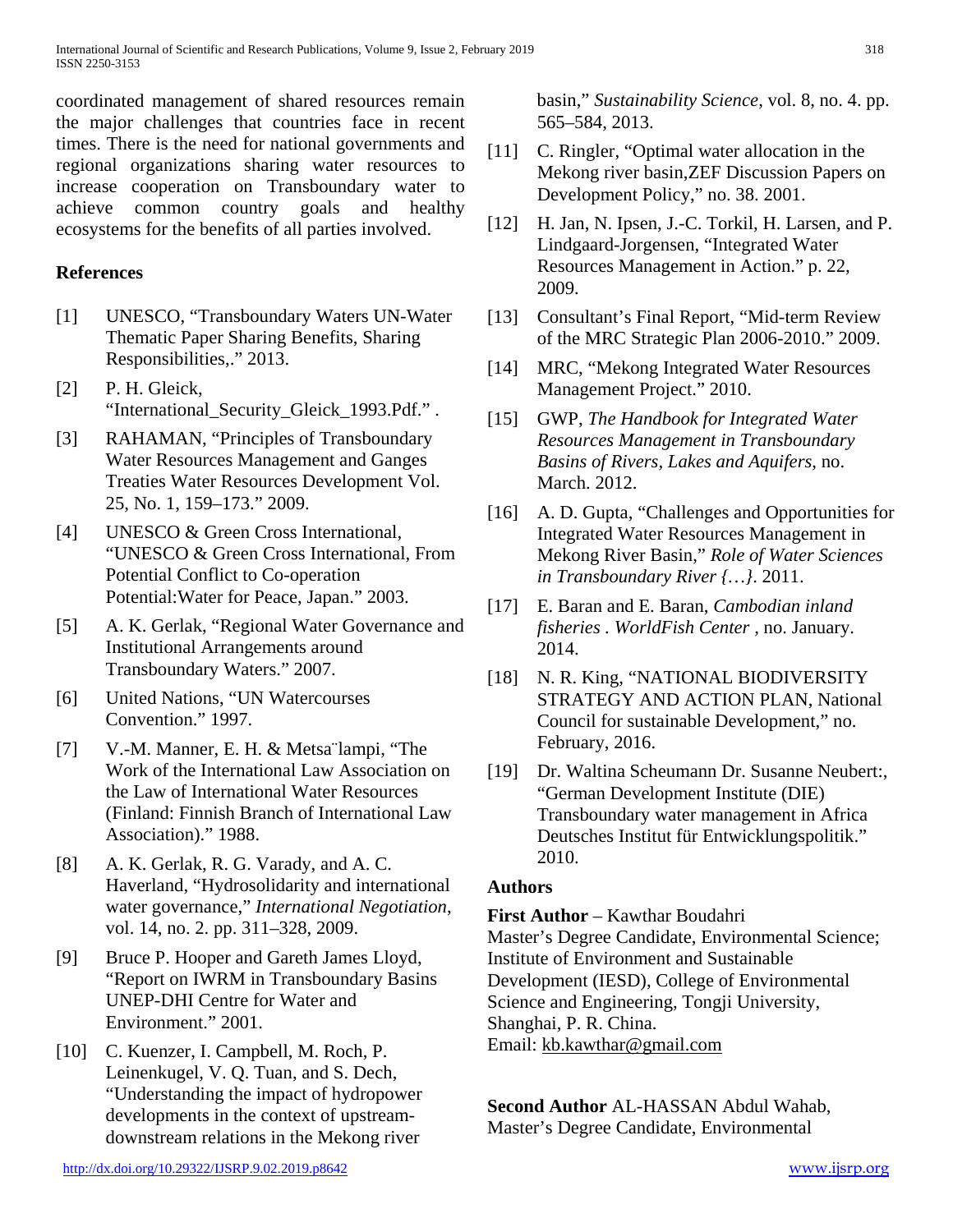coordinated management of shared resources remain the major challenges that countries face in recent times. There is the need for national governments and regional organizations sharing water resources to increase cooperation on Transboundary water to achieve common country goals and healthy ecosystems for the benefits of all parties involved.

#### **References**

- [1] UNESCO, "Transboundary Waters UN-Water Thematic Paper Sharing Benefits, Sharing Responsibilities,." 2013.
- [2] P. H. Gleick, "International\_Security\_Gleick\_1993.Pdf." .
- [3] RAHAMAN, "Principles of Transboundary Water Resources Management and Ganges Treaties Water Resources Development Vol. 25, No. 1, 159–173." 2009.
- [4] UNESCO & Green Cross International, "UNESCO & Green Cross International, From Potential Conflict to Co-operation Potential:Water for Peace, Japan." 2003.
- [5] A. K. Gerlak, "Regional Water Governance and Institutional Arrangements around Transboundary Waters." 2007.
- [6] United Nations, "UN Watercourses Convention." 1997.
- [7] V.-M. Manner, E. H. & Metsa¨lampi, "The Work of the International Law Association on the Law of International Water Resources (Finland: Finnish Branch of International Law Association)." 1988.
- [8] A. K. Gerlak, R. G. Varady, and A. C. Haverland, "Hydrosolidarity and international water governance," *International Negotiation*, vol. 14, no. 2. pp. 311–328, 2009.
- [9] Bruce P. Hooper and Gareth James Lloyd, "Report on IWRM in Transboundary Basins UNEP-DHI Centre for Water and Environment." 2001.
- [10] C. Kuenzer, I. Campbell, M. Roch, P. Leinenkugel, V. Q. Tuan, and S. Dech, "Understanding the impact of hydropower developments in the context of upstreamdownstream relations in the Mekong river

basin," *Sustainability Science*, vol. 8, no. 4. pp. 565–584, 2013.

- [11] C. Ringler, "Optimal water allocation in the Mekong river basin,ZEF Discussion Papers on Development Policy," no. 38. 2001.
- [12] H. Jan, N. Ipsen, J.-C. Torkil, H. Larsen, and P. Lindgaard-Jorgensen, "Integrated Water Resources Management in Action." p. 22, 2009.
- [13] Consultant's Final Report, "Mid-term Review" of the MRC Strategic Plan 2006-2010." 2009.
- [14] MRC, "Mekong Integrated Water Resources Management Project." 2010.
- [15] GWP, *The Handbook for Integrated Water Resources Management in Transboundary Basins of Rivers, Lakes and Aquifers*, no. March. 2012.
- [16] A. D. Gupta, "Challenges and Opportunities for Integrated Water Resources Management in Mekong River Basin," *Role of Water Sciences in Transboundary River {…}*. 2011.
- [17] E. Baran and E. Baran, *Cambodian inland fisheries . WorldFish Center ,* no. January. 2014.
- [18] N. R. King, "NATIONAL BIODIVERSITY STRATEGY AND ACTION PLAN, National Council for sustainable Development," no. February, 2016.
- [19] Dr. Waltina Scheumann Dr. Susanne Neubert:, "German Development Institute (DIE) Transboundary water management in Africa Deutsches Institut für Entwicklungspolitik." 2010.

## **Authors**

**First Author** – Kawthar Boudahri

Master's Degree Candidate, Environmental Science; Institute of Environment and Sustainable Development (IESD), College of Environmental Science and Engineering, Tongji University, Shanghai, P. R. China. Email: [kb.kawthar@gmail.com](mailto:kb.kawthar@gmail.com)

**Second Author** AL-HASSAN Abdul Wahab, Master's Degree Candidate, Environmental